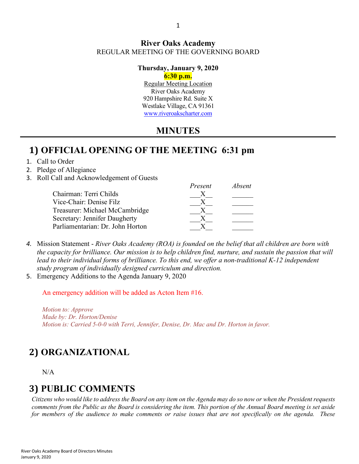#### **River Oaks Academy** REGULAR MEETING OF THE GOVERNING BOARD

#### **Thursday, January 9, 2020**

#### **6:30 p.m.**

Regular Meeting Location River Oaks Academy 920 Hampshire Rd. Suite X Westlake Village, CA 91361 [www.riveroakscharter.com](http://www.riveroakscharter.com/)

### **MINUTES**

## **1) OFFICIAL OPENING OF THE MEETING 6:31 pm**

- 1. Call to Order
- 2. Pledge of Allegiance
- 3. Roll Call and Acknowledgement of Guests

|                                  | Present | <i>Absent</i> |
|----------------------------------|---------|---------------|
| Chairman: Terri Childs           |         |               |
| Vice-Chair: Denise Filz          |         |               |
| Treasurer: Michael McCambridge   |         |               |
| Secretary: Jennifer Daugherty    |         |               |
| Parliamentarian: Dr. John Horton |         |               |

- *4.* Mission Statement *River Oaks Academy (ROA) is founded on the belief that all children are born with the capacity for brilliance. Our mission is to help children find, nurture, and sustain the passion that will*  lead to their individual forms of brilliance. To this end, we offer a non-traditional K-12 independent *study program of individually designed curriculum and direction.*
- 5. Emergency Additions to the Agenda January 9, 2020

An emergency addition will be added as Acton Item #16.

*Motion to: Approve Made by: Dr. Horton/Denise Motion is: Carried 5-0-0 with Terri, Jennifer, Denise, Dr. Mac and Dr. Horton in favor.*

# **2) ORGANIZATIONAL**

N/A

# **3) PUBLIC COMMENTS**

*Citizens who would like to address the Board on any item on the Agenda may do so now or when the President requests comments from the Public as the Board is considering the item. This portion of the Annual Board meeting is set aside for members of the audience to make comments or raise issues that are not specifically on the agenda. These*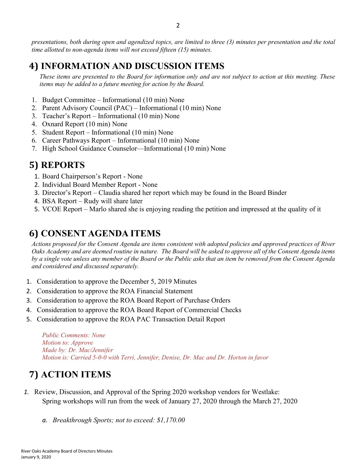*presentations, both during open and agendized topics, are limited to three (3) minutes per presentation and the total time allotted to non-agenda items will not exceed fifteen (15) minutes.*

## **4) INFORMATION AND DISCUSSION ITEMS**

*These items are presented to the Board for information only and are not subject to action at this meeting. These items may be added to a future meeting for action by the Board.*

- 1. Budget Committee Informational (10 min) None
- 2. Parent Advisory Council (PAC) Informational (10 min) None
- 3. Teacher's Report Informational (10 min) None
- 4. Oxnard Report (10 min) None
- 5. Student Report Informational (10 min) None
- 6. Career Pathways Report Informational (10 min) None
- 7. High School Guidance Counselor—Informational (10 min) None

## **5) REPORTS**

- 1. Board Chairperson's Report None
- 2. Individual Board Member Report None
- 3. Director's Report Claudia shared her report which may be found in the Board Binder
- 4. BSA Report Rudy will share later
- 5. VCOE Report Marlo shared she is enjoying reading the petition and impressed at the quality of it

## **6) CONSENT AGENDA ITEMS**

*Actions proposed for the Consent Agenda are items consistent with adopted policies and approved practices of River Oaks Academy and are deemed routine in nature. The Board will be asked to approve all of the Consent Agenda items by a single vote unless any member of the Board or the Public asks that an item be removed from the Consent Agenda and considered and discussed separately.*

- 1. Consideration to approve the December 5, 2019 Minutes
- 2. Consideration to approve the ROA Financial Statement
- 3. Consideration to approve the ROA Board Report of Purchase Orders
- 4. Consideration to approve the ROA Board Report of Commercial Checks
- 5. Consideration to approve the ROA PAC Transaction Detail Report

*Public Comments: None Motion to: Approve Made by: Dr. Mac/Jennifer Motion is: Carried 5-0-0 with Terri, Jennifer, Denise, Dr. Mac and Dr. Horton in favor*

# **7) ACTION ITEMS**

- *1.* Review, Discussion, and Approval of the Spring 2020 workshop vendors for Westlake: Spring workshops will run from the week of January 27, 2020 through the March 27, 2020
	- *a. Breakthrough Sports; not to exceed: \$1,170.00*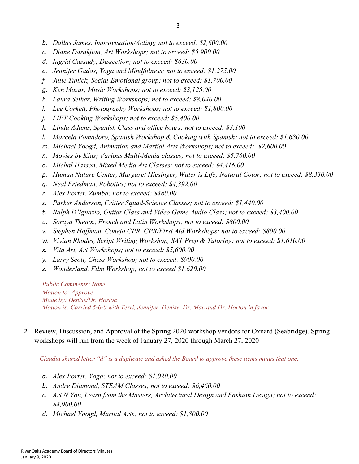- *b. Dallas James, Improvisation/Acting; not to exceed: \$2,600.00*
- *c. Diane Darakjian, Art Workshops; not to exceed: \$5,900.00*
- *d. Ingrid Cassady, Dissection; not to exceed: \$630.00*
- *e. Jennifer Gados, Yoga and Mindfulness; not to exceed: \$1,275.00*
- *f. Julie Tunick, Social-Emotional group; not to exceed: \$1,700.00*
- *g. Ken Mazur, Music Workshops; not to exceed: \$3,125.00*
- *h. Laura Sether, Writing Workshops; not to exceed: \$8,040.00*
- *i. Lee Corkett, Photography Workshops; not to exceed: \$1,800.00*
- *j. LIFT Cooking Workshops; not to exceed: \$5,400.00*
- *k. Linda Adams, Spanish Class and office hours; not to exceed: \$3,100*
- *l. Marcela Pomadoro, Spanish Workshop & Cooking with Spanish; not to exceed: \$1,680.00*
- *m. Michael Voogd, Animation and Martial Arts Workshops; not to exceed: \$2,600.00*
- *n. Movies by Kids; Various Multi-Media classes; not to exceed: \$5,760.00*
- *o. Michal Hasson, Mixed Media Art Classes; not to exceed: \$4,416.00*
- *p. Human Nature Center, Margaret Hiesinger, Water is Life; Natural Color; not to exceed: \$8,330.00*
- *q. Neal Friedman, Robotics; not to exceed: \$4,392.00*
- *r. Alex Porter, Zumba; not to exceed: \$480.00*
- *s. Parker Anderson, Critter Squad-Science Classes; not to exceed: \$1,440.00*
- *t. Ralph D'Ignazio, Guitar Class and Video Game Audio Class; not to exceed: \$3,400.00*
- *u. Soraya Thenoz, French and Latin Workshops; not to exceed: \$800.00*
- *v. Stephen Hoffman, Conejo CPR, CPR/First Aid Workshops; not to exceed: \$800.00*
- *w. Vivian Rhodes, Script Writing Workshop, SAT Prep & Tutoring; not to exceed: \$1,610.00*
- *x. Vita Art, Art Workshops; not to exceed: \$5,600.00*
- *y. Larry Scott, Chess Workshop; not to exceed: \$900.00*
- *z. Wonderland, Film Workshop; not to exceed \$1,620.00*

*Public Comments: None Motion to: Approve Made by: Denise/Dr. Horton Motion is: Carried 5-0-0 with Terri, Jennifer, Denise, Dr. Mac and Dr. Horton in favor*

*2.* Review, Discussion, and Approval of the Spring 2020 workshop vendors for Oxnard (Seabridge). Spring workshops will run from the week of January 27, 2020 through March 27, 2020

*Claudia shared letter "d" is a duplicate and asked the Board to approve these items minus that one.*

- *a. Alex Porter, Yoga; not to exceed: \$1,020.00*
- *b. Andre Diamond, STEAM Classes; not to exceed: \$6,460.00*
- *c. Art N You, Learn from the Masters, Architectural Design and Fashion Design; not to exceed: \$4,900.00*
- *d. Michael Voogd, Martial Arts; not to exceed: \$1,800.00*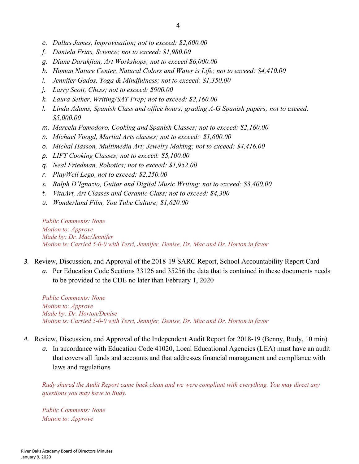- *e. Dallas James, Improvisation; not to exceed: \$2,600.00*
- *f. Daniela Frias, Science; not to exceed: \$1,980.00*
- *g. Diane Darakjian, Art Workshops; not to exceed \$6,000.00*
- *h. Human Nature Center, Natural Colors and Water is Life; not to exceed: \$4,410.00*
- *i. Jennifer Gados, Yoga & Mindfulness; not to exceed: \$1,350.00*
- *j. Larry Scott, Chess; not to exceed: \$900.00*
- *k. Laura Sether, Writing/SAT Prep; not to exceed: \$2,160.00*
- *l. Linda Adams, Spanish Class and office hours; grading A-G Spanish papers; not to exceed: \$5,000.00*
- *m. Marcela Pomodoro, Cooking and Spanish Classes; not to exceed: \$2,160.00*
- *n. Michael Voogd, Martial Arts classes; not to exceed: \$1,600.00*
- *o. Michal Hasson, Multimedia Art; Jewelry Making; not to exceed: \$4,416.00*
- *p. LIFT Cooking Classes; not to exceed: \$5,100.00*
- *q. Neal Friedman, Robotics; not to exceed: \$1,952.00*
- *r. PlayWell Lego, not to exceed: \$2,250.00*
- *s. Ralph D'Ignazio, Guitar and Digital Music Writing; not to exceed: \$3,400.00*
- *t. VitaArt, Art Classes and Ceramic Class; not to exceed: \$4,300*
- *u. Wonderland Film, You Tube Culture; \$1,620.00*

*Public Comments: None Motion to: Approve Made by: Dr. Mac/Jennifer Motion is: Carried 5-0-0 with Terri, Jennifer, Denise, Dr. Mac and Dr. Horton in favor*

- *3.* Review, Discussion, and Approval of the 2018-19 SARC Report, School Accountability Report Card
	- *a.* Per Education Code Sections 33126 and 35256 the data that is contained in these documents needs to be provided to the CDE no later than February 1, 2020

*Public Comments: None Motion to: Approve Made by: Dr. Horton/Denise Motion is: Carried 5-0-0 with Terri, Jennifer, Denise, Dr. Mac and Dr. Horton in favor*

- *4.* Review, Discussion, and Approval of the Independent Audit Report for 2018-19 (Benny, Rudy, 10 min)
	- *a.* In accordance with Education Code 41020, Local Educational Agencies (LEA) must have an audit that covers all funds and accounts and that addresses financial management and compliance with laws and regulations

*Rudy shared the Audit Report came back clean and we were compliant with everything. You may direct any questions you may have to Rudy.*

*Public Comments: None Motion to: Approve*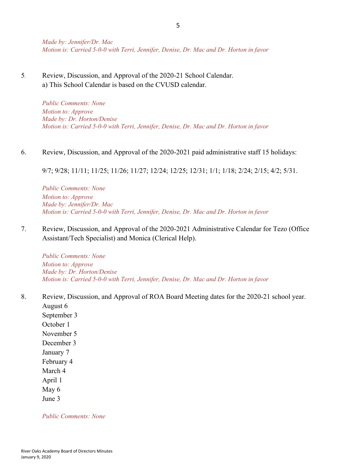*Made by: Jennifer/Dr. Mac Motion is: Carried 5-0-0 with Terri, Jennifer, Denise, Dr. Mac and Dr. Horton in favor*

5*.* Review, Discussion, and Approval of the 2020-21 School Calendar. a) This School Calendar is based on the CVUSD calendar.

> *Public Comments: None Motion to: Approve Made by: Dr. Horton/Denise Motion is: Carried 5-0-0 with Terri, Jennifer, Denise, Dr. Mac and Dr. Horton in favor*

#### 6. Review, Discussion, and Approval of the 2020-2021 paid administrative staff 15 holidays:

9/7; 9/28; 11/11; 11/25; 11/26; 11/27; 12/24; 12/25; 12/31; 1/1; 1/18; 2/24; 2/15; 4/2; 5/31.

*Public Comments: None Motion to: Approve Made by: Jennifer/Dr. Mac Motion is: Carried 5-0-0 with Terri, Jennifer, Denise, Dr. Mac and Dr. Horton in favor*

7. Review, Discussion, and Approval of the 2020-2021 Administrative Calendar for Tezo (Office Assistant/Tech Specialist) and Monica (Clerical Help).

*Public Comments: None Motion to: Approve Made by: Dr. Horton/Denise Motion is: Carried 5-0-0 with Terri, Jennifer, Denise, Dr. Mac and Dr. Horton in favor*

8. Review, Discussion, and Approval of ROA Board Meeting dates for the 2020-21 school year. August 6

September 3 October 1 November 5 December 3 January 7 February 4 March 4 April 1 May 6 June 3

*Public Comments: None*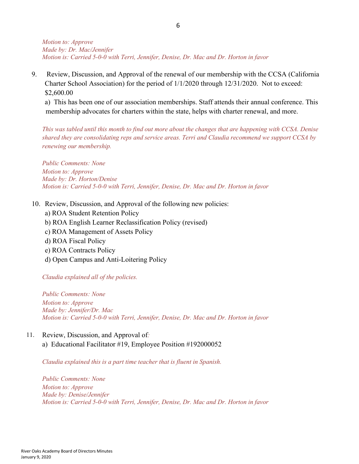*Motion to: Approve Made by: Dr. Mac/Jennifer Motion is: Carried 5-0-0 with Terri, Jennifer, Denise, Dr. Mac and Dr. Horton in favor*

9. Review, Discussion, and Approval of the renewal of our membership with the CCSA (California Charter School Association) for the period of 1/1/2020 through 12/31/2020. Not to exceed: \$2,600.00

a) This has been one of our association memberships. Staff attends their annual conference. This membership advocates for charters within the state, helps with charter renewal, and more.

*This was tabled until this month to find out more about the changes that are happening with CCSA. Denise shared they are consolidating reps and service areas. Terri and Claudia recommend we support CCSA by renewing our membership.*

*Public Comments: None Motion to: Approve Made by: Dr. Horton/Denise Motion is: Carried 5-0-0 with Terri, Jennifer, Denise, Dr. Mac and Dr. Horton in favor*

- 10. Review, Discussion, and Approval of the following new policies:
	- a) ROA Student Retention Policy
	- b) ROA English Learner Reclassification Policy (revised)
	- c) ROA Management of Assets Policy
	- d) ROA Fiscal Policy
	- e) ROA Contracts Policy
	- d) Open Campus and Anti-Loitering Policy

*Claudia explained all of the policies.*

*Public Comments: None Motion to: Approve Made by: Jennifer/Dr. Mac Motion is: Carried 5-0-0 with Terri, Jennifer, Denise, Dr. Mac and Dr. Horton in favor*

- 11. Review, Discussion, and Approval of*:*
	- a) Educational Facilitator #19, Employee Position #192000052

*Claudia explained this is a part time teacher that is fluent in Spanish.*

*Public Comments: None Motion to: Approve Made by: Denise/Jennifer Motion is: Carried 5-0-0 with Terri, Jennifer, Denise, Dr. Mac and Dr. Horton in favor*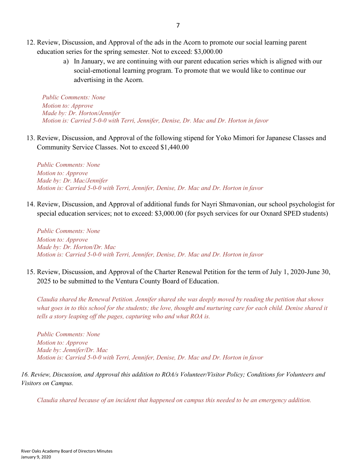- 12. Review, Discussion, and Approval of the ads in the Acorn to promote our social learning parent education series for the spring semester. Not to exceed: \$3,000.00
	- a) In January, we are continuing with our parent education series which is aligned with our social-emotional learning program. To promote that we would like to continue our advertising in the Acorn.

*Public Comments: None Motion to: Approve Made by: Dr. Horton/Jennifer Motion is: Carried 5-0-0 with Terri, Jennifer, Denise, Dr. Mac and Dr. Horton in favor*

13. Review, Discussion, and Approval of the following stipend for Yoko Mimori for Japanese Classes and Community Service Classes. Not to exceed \$1,440.00

*Public Comments: None Motion to: Approve Made by: Dr. Mac/Jennifer Motion is: Carried 5-0-0 with Terri, Jennifer, Denise, Dr. Mac and Dr. Horton in favor*

14. Review, Discussion, and Approval of additional funds for Nayri Shmavonian, our school psychologist for special education services; not to exceed: \$3,000.00 (for psych services for our Oxnard SPED students)

*Public Comments: None Motion to: Approve Made by: Dr. Horton/Dr. Mac Motion is: Carried 5-0-0 with Terri, Jennifer, Denise, Dr. Mac and Dr. Horton in favor*

15. Review, Discussion, and Approval of the Charter Renewal Petition for the term of July 1, 2020-June 30, 2025 to be submitted to the Ventura County Board of Education.

*Claudia shared the Renewal Petition. Jennifer shared she was deeply moved by reading the petition that shows*  what goes in to this school for the students; the love, thought and nurturing care for each child. Denise shared it *tells a story leaping off the pages, capturing who and what ROA is.*

*Public Comments: None Motion to: Approve Made by: Jennifer/Dr. Mac Motion is: Carried 5-0-0 with Terri, Jennifer, Denise, Dr. Mac and Dr. Horton in favor*

*16. Review, Discussion, and Approval this addition to ROA/s Volunteer/Visitor Policy; Conditions for Volunteers and Visitors on Campus.*

*Claudia shared because of an incident that happened on campus this needed to be an emergency addition.*